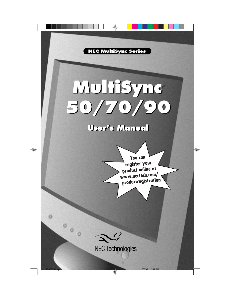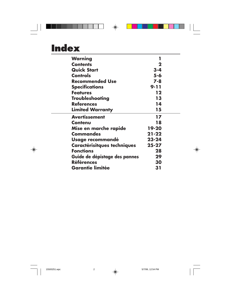| Warning                            | 1         |
|------------------------------------|-----------|
| <b>Contents</b>                    | 2         |
| <b>Quick Start</b>                 | $3 - 4$   |
| <b>Controls</b>                    | $5 - 6$   |
| <b>Recommended Use</b>             | $7 - 8$   |
| <b>Specifications</b>              | $9 - 11$  |
| <b>Features</b>                    | 12        |
| <b>Troubleshooting</b>             | 13        |
| <b>References</b>                  | 14        |
| <b>Limited Warranty</b>            | 15        |
| <b>Avertissement</b>               | 17        |
| <b>Contenu</b>                     | 18        |
| Mise en marche rapide              | 19-20     |
| <b>Commandes</b>                   | $21 - 22$ |
| Usage recommandé                   | $23 - 24$ |
| <b>Caractérisitques techniques</b> | $25 - 27$ |
| <b>Fonctions</b>                   | 28        |
| Guide de dépistage des pannes      | 29        |
| <b>Références</b>                  | 30        |
| <b>Garantie limitée</b>            | 31        |

 $\color{red} \bigoplus$ 

 $\begin{array}{|c|c|c|}\n \hline\n 15500251.\text{wpc} & 2 & 5/7/99, 12:54 \text{ PM} \end{array}$ 

 $\bigoplus$ 

 $\sqrt{1}$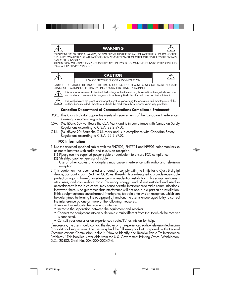#### **WARNING**

TO PREVENT FIRE OR SHOCK HAZARDS, DO NOT EXPOSE THIS UNIT TO RAIN OR MOISTURE. ALSO, DO NOT USE THIS UNIT'S POLARIZED PLUG WITH AN EXTENSION CORD RECEPTACLE OR OTHER OUTLETS UNLESS THE PRONGS CAN BE FULLY INSERTED.

REFRAIN FROM OPENING THE CABINET AS THERE ARE HIGH VOLTAGE COMPONENTS INSIDE. REFER SERVICING TO QUALIFIED SERVICE PERSONNEL.

#### **CAUTION**

RISK OF ELECTRIC SHOCK • DO NOT OPEN

CAUTION: TO REDUCE THE RISK OF ELECTRIC SHOCK, DO NOT REMOVE COVER (OR BACK). NO USER SERVICEABLE PARTS INSIDE. REFER SERVICING TO QUALIFIED SERVICE PERSONNEL.

This symbol warns user that uninsulated voltage within the unit may have sufficient magnitude to cause electric shock. Therefore, it is dangerous to make any kind of contact with any part inside this unit.

This symbol alerts the user that important literature concerning the operation and maintenance of this unit has been included. Therefore, it should be read carefully in order to avoid any problems.

#### **Canadian Department of Communications Compliance Statement**

- DOC: This Class B digital apparatus meets all requirements of the Canadian Interference-Causing Equipment Regulations.
- CSA: (MultiSync 50/70) Bears the CSA Mark and is in compliance with Canadian Safety Regulations according to C.S.A. 22.2 #950.
- C-UL: (MultiSync 90) Bears the C-UL Mark and is in compliance with Canadian Safety Regulations according to C.S.A. 22.2 #950.

#### **FCC Information**

ץ∕

- 1. Use the attached specified cables with the PN7501, PN7701 and N9901 color monitors so as not to interfere with radio and television reception.
	- (1) Please use the supplied power cable or equivalent to ensure FCC compliance.
	- (2) Shielded captive type signal cable.
	- Use of other cables and adapters may cause interference with radio and television reception.
- 2. This equipment has been tested and found to comply with the limits for a Class B digital device, pursuant to part 15 of the FCC Rules. These limits are designed to provide reasonable protection against harmful interference in a residential installation. This equipment generates, uses, and can radiate radio frequency energy, and, if not installed and used in accordance with the instructions, may cause harmful interference to radio communications. However, there is no guarantee that interference will not occur in a particular installation. If this equipment does cause harmful interference to radio or television reception, which can be determined by turning the equipment off and on, the user is encouraged to try to correct the interference by one or more of the following measures:
	- Reorient or relocate the receiving antenna.
	- Increase the separation between the equipment and receiver.
	- Connect the equipment into an outlet on a circuit different from that to which the receiver is connected.
	- Consult your dealer or an experienced radio/TV technician for help.

If necessary, the user should contact the dealer or an experienced radio/television technician for additional suggestions. The user may find the following booklet, prepared by the Federal Communications Commission, helpful: "How to Identify and Resolve Radio-TV Interference Problems." This booklet is available from the U.S. Government Printing Office, Washington, D.C., 20402, Stock No. 004-000-00345-4.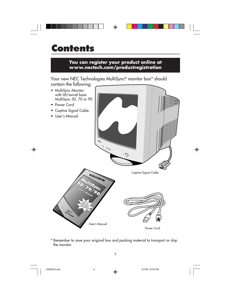### **Contents You can register your product online at www.nectech.com/productregistration** Your new NEC Technologies MultiSync<sup>®</sup> monitor box<sup>\*</sup> should contain the following: • MultiSync Monitor with tilt/swivel base MultiSync 50, 70 or 90 • Power Cord • Captive Signal Cable • User's Manual  $\circ$  $\sim$  $\overline{O}$ Captive Signal Cable **NEC MultiSync Series MultiSync**® **50/7/15ync User's Manual You ca re gister your product online at**  www.nectech.com/<br>Productregist.com/  **productregistration**

Power Cord

\* Remember to save your original box and packing material to transport or ship the monitor.

User's Manual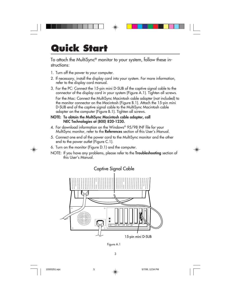## **Quick Start**

To attach the MultiSync® monitor to your system, follow these instructions:

- 1. Turn off the power to your computer.
- 2. If necessary, install the display card into your system. For more information, refer to the display card manual.
- 3. For the PC: Connect the 15-pin mini D-SUB of the captive signal cable to the connector of the display card in your system (Figure A.1). Tighten all screws.

For the Mac: Connect the MultiSync Macintosh cable adapter (not included) to the monitor connector on the Macintosh (Figure B.1). Attach the 15-pin mini D-SUB end of the captive signal cable to the MultiSync Macintosh cable adapter on the computer (Figure B.1). Tighten all screws.

#### NOTE: To obtain the MultiSync Macintosh cable adapter, call NEC Technologies at (800) 820-1230.

- 4. For download information on the Windows® 95/98 INF file for your MultiSync monitor, refer to the References section of this User's Manual.
- 5. Connect one end of the power cord to the MultiSync monitor and the other end to the power outlet (Figure C.1).
- 6. Turn on the monitor (Figure D.1) and the computer.

NOTE: If you have any problems, please refer to the **Troubleshooting** section of this User's Manual.



Figure A.1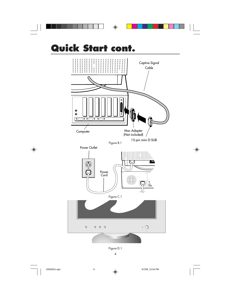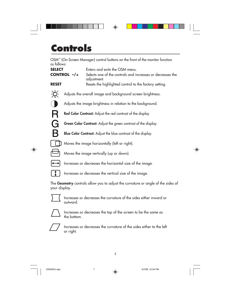## **Controls**

OSM™ (On-Screen Manager) control buttons on the front of the monitor function as follows:

| <b>SELECT</b> | Enters and exits the OSM menu.                                            |
|---------------|---------------------------------------------------------------------------|
| CONTROL -/+   | Selects one of the controls and increases or decreases the<br>adjustment. |
| <b>RESET</b>  | Resets the highlighted control to the factory setting.                    |
|               |                                                                           |

- ЭQ. Adjusts the overall image and background screen brightness.
	- Adjusts the image brightness in relation to the background.
	- Red Color Contrast: Adjust the red contrast of the display
	- Green Color Contrast: Adjust the green contrast of the display.
	- Blue Color Contrast: Adjust the blue contrast of the display.
	- Moves the image horizontally (left or right).





 $\bigcirc$ 

 $\mathsf R$ 

G

B

- Moves the image vertically (up or down).
- Increases or decreases the horizontal size of the image.
	- Increases or decreases the vertical size of the image.

The Geometry controls allow you to adjust the curvature or angle of the sides of your display.



Increases or decreases the curvature of the sides either inward or outward.



Increases or decreases the top of the screen to be the same as the bottom.



Increases or decreases the curvature of the sides either to the left or right.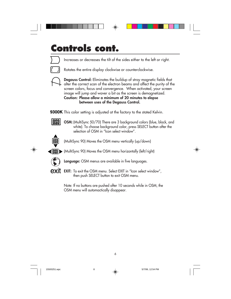



Increases or decreases the tilt of the sides either to the left or right.



Rotates the entire display clockwise or counterclockwise.



Degauss Control: Eliminates the buildup of stray magnetic fields that alter the correct scan of the electron beams and affect the purity of the screen colors, focus and convergence. When activated, your screen image will jump and waver a bit as the screen is demagnetized. Caution: Please allow a minimum of 20 minutes to elapse between uses of the Degauss Control.

9300K This color setting is adjusted at the factory to the stated Kelvin.

OSM: (MultiSync 50/70) There are 3 background colors (blue, black, and white). To choose background color, press SELECT button after the selection of OSM in "Icon select window".



IOSDI

(MultiSync 90) Moves the OSM menu vertically (up/down)



 $\left(\sqrt{0.001}\right)$  (MultiSync 90) Moves the OSM menu horizontally (left/right)



Language: OSM menus are available in five languages.

**EXIT:** To exit the OSM menu. Select EXIT in "Icon select window", then push SELECT button to exit OSM menu.

> Note: If no buttons are pushed after 10 seconds while in OSM, the OSM menu will automactically disappear.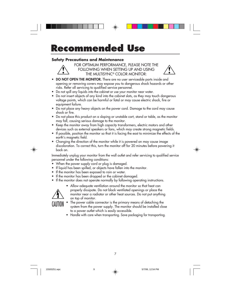## **Recommended Use**

#### **Safety Precautions and Maintenance**



FOR OPTIMUM PERFORMANCE, PLEASE NOTE THE FOLLOWING WHEN SETTING UP AND USING THE MULTISYNC® COLOR MONITOR:

- DO NOT OPEN THE MONITOR. There are no user serviceable parts inside and opening or removing covers may expose you to dangerous shock hazards or other risks. Refer all servicing to qualified service personnel.
- Do not spill any liquids into the cabinet or use your monitor near water.
- Do not insert objects of any kind into the cabinet slots, as they may touch dangerous voltage points, which can be harmful or fatal or may cause electric shock, fire or equipment failure.
- Do not place any heavy objects on the power cord. Damage to the cord may cause shock or fire.
- Do not place this product on a sloping or unstable cart, stand or table, as the monitor may fall, causing serious damage to the monitor.
- Keep the monitor away from high capacity transformers, electric motors and other devices such as external speakers or fans, which may create strong magnetic fields.
- If possible, position the monitor so that it is facing the east to minimize the effects of the earth's magnetic field.
- Changing the direction of the monitor while it is powered on may cause image discoloration. To correct this, turn the monitor off for 20 minutes before powering it back on.

Immediately unplug your monitor from the wall outlet and refer servicing to qualified service personnel under the following conditions:

- When the power supply cord or plug is damaged.
- If liquid has been spilled, or objects have fallen into the monitor.
- If the monitor has been exposed to rain or water.
- If the monitor has been dropped or the cabinet damaged.
- If the monitor does not operate normally by following operating instructions.

• Allow adequate ventilation around the monitor so that heat can properly dissipate. Do not block ventilated openings or place the monitor near a radiator or other heat sources. Do not put anything on top of monitor.

CAUTION

- The power cable connector is the primary means of detaching the system from the power supply. The monitor should be installed close to a power outlet which is easily accessible.
- Handle with care when transporting. Save packaging for transporting.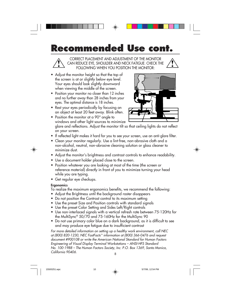## **Recommended Use cont.**



CORRECT PLACEMENT AND ADJUSTMENT OF THE MONITOR CAN REDUCE EYE, SHOULDER AND NECK FATIGUE. CHECK THE FOLLOWING WHEN YOU POSITION THE MONITOR:

- Adjust the monitor height so that the top of the screen is at or slightly below eye level. Your eyes should look slightly downward when viewing the middle of the screen.
- Position your monitor no closer than 12 inches and no further away than 28 inches from your eyes. The optimal distance is 18 inches.
- Rest your eyes periodically by focusing on an object at least 20 feet away. Blink often.



- Position the monitor at a 90° angle to windows and other light sources to minimize glare and reflections. Adjust the monitor tilt so that ceiling lights do not reflect on your screen.
- If reflected light makes it hard for you to see your screen, use an anti-glare filter.
- Clean your monitor regularly. Use a lint-free, non-abrasive cloth and a non-alcohol, neutral, non-abrasive cleaning solution or glass cleaner to minimize dust.
- Adjust the monitor's brightness and contrast controls to enhance readability.
- Use a document holder placed close to the screen.
- Position whatever you are looking at most of the time (the screen or reference material) directly in front of you to minimize turning your head while you are typing.
- Get regular eye checkups.

#### **Ergonomics**

To realize the maximum ergonomics benefits, we recommend the following:

- Adjust the Brightness until the background raster disappears
- Do not position the Contrast control to its maximum setting
- Use the preset Size and Position controls with standard signals
- Use the preset Color Setting and Sides Left/Right controls
- Use non-interlaced signals with a vertical refresh rate between 75-120Hz for the MultiSync® 50/70 and 75-160Hz for the MultiSync 90
- Do not use primary color blue on a dark background, as it is difficult to see and may produce eye fatigue due to insufficient contrast

For more detailed information on setting up a healthy work environment, call NEC at (800) 820-1230, NEC FastFacts™ information at (800) 366-0476 and request document #900108 or write the American National Standard for Human Factors Engineering of Visual Display Terminal Workstations – ANSI-HFS Standard No. 100-1988 – The Human Factors Society, Inc. P.O. Box 1369, Santa Monica, California 90406. <sup>8</sup>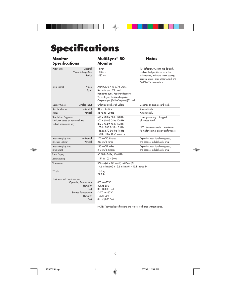## **Specifications**

| <b>Monitor</b><br><b>Specifications</b>                                                         |                                          | MultiSync <sup>®</sup> 50<br><b>Monitor</b>                                                                                                                                                                | <b>Notes</b>                                                                                                                                                                                                     |
|-------------------------------------------------------------------------------------------------|------------------------------------------|------------------------------------------------------------------------------------------------------------------------------------------------------------------------------------------------------------|------------------------------------------------------------------------------------------------------------------------------------------------------------------------------------------------------------------|
| Picture Tube<br>Viewable Image Size:                                                            | Diagonal:<br>Radius:                     | 15 inch<br>13.8 inch<br>1080 mm                                                                                                                                                                            | 90° deflection, 0.28 mm trio dot pitch,<br>medium short persistence phosphor,<br>multi-layered, anti-static screen coating,<br>semi-tint screen, Invar Shadow Mask and<br>OptiClear <sup>®</sup> screen surface. |
| Input Signal                                                                                    | Video:<br>Sync:                          | ANALOG 0.7 Vp-p/75 Ohms<br>Separate sync. TTL Level<br>Horizontal sync. Positive/Negative<br>Vertical sync. Positive/Negative<br>Composite sync. (Positive/Negative) (TTL Level)                           |                                                                                                                                                                                                                  |
| Display Colors                                                                                  | Analog input:                            | Unlimited number of Colors                                                                                                                                                                                 | Depends on display card used.                                                                                                                                                                                    |
| Synchronization<br>Range                                                                        | Horizontal:<br>Vertical:                 | 31 kHz to 69 kHz<br>55 Hz to 120 Hz                                                                                                                                                                        | Automatically<br>Automatically                                                                                                                                                                                   |
| <b>Resolutions Supported</b><br>Resolution based on horizontal and<br>vertical frequencies only |                                          | 640 x 480 @ 60 to 120 Hz<br>800 x 600 @ 55 to 109 Hz<br>832 x 624 @ 55 to 103 Hz<br>1024 x 768 @ 55 to 85 Hz  NEC cites recommended resolution at<br>1152 x 870 @ 55 to 76 Hz<br>1280 x 1024 @ 55 to 65 Hz | Some systems may not support<br>all modes listed.<br>75 Hz for optimal display performance.                                                                                                                      |
| Active Display Area<br>(Factory Setting)                                                        | Horizontal:<br>Vertical:                 | 270 mm/10.6 inches<br>202 mm/8 inches                                                                                                                                                                      | Dependent upon signal timing used,<br>and does not include border area.                                                                                                                                          |
| Active Display Area<br>(Full Scan)                                                              |                                          | 280 mm/11 inches<br>210 mm/8.3 inches                                                                                                                                                                      | Dependent upon signal timing used,<br>and does not include border area.                                                                                                                                          |
| Power Supply                                                                                    |                                          | AC 100 - 240V, 50/60 Hz                                                                                                                                                                                    |                                                                                                                                                                                                                  |
| <b>Current Rating</b>                                                                           |                                          | $1.5A \ @ \ 100 - 240V$                                                                                                                                                                                    |                                                                                                                                                                                                                  |
| <b>Dimensions</b>                                                                               |                                          | 372 mm (W) x 396 mm (H) x 402 mm (D)<br>14.6 inches (W) x 15.6 inches (H) x 15.8 inches (D)                                                                                                                |                                                                                                                                                                                                                  |
| Weight                                                                                          |                                          | 13.5 kg<br>29.7 lbs                                                                                                                                                                                        |                                                                                                                                                                                                                  |
| <b>Environmental Considerations</b><br><b>Operating Temperature:</b><br>Storage Temperature:    | Humidity:<br>Feet:<br>Humidity:<br>Feet: | $0^{\circ}$ C to +35 $^{\circ}$ C<br>30% to 80%<br>0 to 10,000 Feet<br>$-20^{\circ}$ C to $+60^{\circ}$ C<br>10% to 90%<br>0 to 45,000 Feet                                                                |                                                                                                                                                                                                                  |

 $\bigoplus$ 

- 1

 $\bigoplus$ 

NOTE: Technical specifications are subject to change without notice.

9

 $\color{green}\blacklozenge$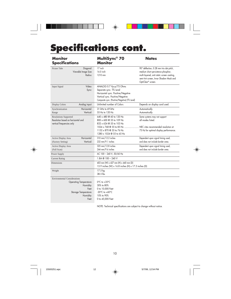## **Specifications cont.**

 $\Box$ 

Ļ

| <b>Monitor</b><br><b>Specifications</b>                                                                          |                                                                                                   | MultiSync® 70<br>Monitor                                                                                                                                                         | <b>Notes</b>                                                                                                                                                                                             |
|------------------------------------------------------------------------------------------------------------------|---------------------------------------------------------------------------------------------------|----------------------------------------------------------------------------------------------------------------------------------------------------------------------------------|----------------------------------------------------------------------------------------------------------------------------------------------------------------------------------------------------------|
| Picture Tube                                                                                                     | Diagonal:<br>Viewable Image Size:<br>Radius:                                                      | 17 inch<br>16.0 inch<br>1210 mm                                                                                                                                                  | 90° deflection, 0.28 mm trio dot pitch,<br>medium short persistence phosphor,<br>multi-layered, anti-static screen coating,<br>semi-tint screen, Invar Shadow Mask and<br>OptiClear <sup>®</sup> screen. |
| Input Signal                                                                                                     | Video:<br>Sync:                                                                                   | ANALOG 0.7 Vp-p/75 Ohms<br>Separate sync. TTL Level<br>Horizontal sync. Positive/Negative<br>Vertical sync. Positive/Negative<br>Composite sync. (Positive/Negative) (TTL Level) |                                                                                                                                                                                                          |
| Display Colors                                                                                                   | Analog input:                                                                                     | Unlimited number of Colors                                                                                                                                                       | Depends on display card used.                                                                                                                                                                            |
| Synchronization<br>Range                                                                                         | Horizontal:<br>Vertical:                                                                          | 31 kHz to 69 kHz<br>55 Hz to 120 Hz                                                                                                                                              | Automatically<br>Automatically                                                                                                                                                                           |
| <b>Resolutions Supported</b><br>Resolution based on horizontal and<br>vertical frequencies only                  |                                                                                                   | 640 x 480 @ 60 to 120 Hz<br>800 x 600 @ 55 to 109 Hz<br>832 x 624 @ 55 to 103 Hz<br>1024 x 768 @ 55 to 85 Hz<br>1152 x 870 @ 55 to 76 Hz<br>1280 x 1024 @ 55 to 65 Hz            | Some systems may not support<br>all modes listed.<br>. NEC cites recommended resolution at<br>75 Hz for optimal display performance.                                                                     |
| Active Display Area<br>(Factory Setting)                                                                         | Horizontal:<br>Vertical:                                                                          | 310 mm/12.2 inches<br>232 mm/9.1 inches                                                                                                                                          | Dependent upon signal timing used,<br>and does not include border area.                                                                                                                                  |
| Active Display Area<br>(Full Scan)                                                                               |                                                                                                   | 325 mm/12.8 inches<br>244 mm/9.6 inches                                                                                                                                          | Dependent upon signal timing used,<br>and does not include border area.                                                                                                                                  |
| Power Supply                                                                                                     |                                                                                                   | AC 100 - 240 V, 50/60 Hz                                                                                                                                                         |                                                                                                                                                                                                          |
| <b>Current Rating</b>                                                                                            |                                                                                                   | 1.8A @ 100 - 240 V                                                                                                                                                               |                                                                                                                                                                                                          |
| 403 mm (W) x 427 mm (H) x 440 mm (D)<br><b>Dimensions</b><br>15.9 inches (W) x 16.8 inches (H) x 17.3 inches (D) |                                                                                                   |                                                                                                                                                                                  |                                                                                                                                                                                                          |
| Weight                                                                                                           |                                                                                                   | 17.5 kg<br>38.5 lbs                                                                                                                                                              |                                                                                                                                                                                                          |
| <b>Environmental Considerations</b>                                                                              | <b>Operating Temperature:</b><br>Humidity:<br>Feet:<br>Storage Temperature:<br>Humidity:<br>Feet: | $0^{\circ}$ C to +35 $^{\circ}$ C<br>30% to 80%<br>0 to 10,000 Feet<br>$-20^{\circ}$ C to $+60^{\circ}$ C<br>10% to 90%<br>0 to 45,000 Feet                                      |                                                                                                                                                                                                          |

 $\Rightarrow$  [

 $\bigoplus$ 

NOTE: Technical specifications are subject to change without notice.

10

 $\bigoplus$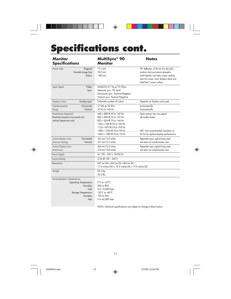## **Specifications cont.**

 $\Box$   $\quad \quad \bullet$   $\Box$ 

 $\bigoplus$ 

L

| <b>Monitor</b><br><b>Specifications</b>                                                                                                  | MultiSync® 90<br><b>Monitor</b>                                                                                                                                                                                                           | <b>Notes</b>                                                                                                                                                                                                     |
|------------------------------------------------------------------------------------------------------------------------------------------|-------------------------------------------------------------------------------------------------------------------------------------------------------------------------------------------------------------------------------------------|------------------------------------------------------------------------------------------------------------------------------------------------------------------------------------------------------------------|
| Picture Tube<br>Diagonal:<br>Viewable Image Size:<br>Radius:                                                                             | 19.5 inch<br>18.0 inch<br>1360 mm                                                                                                                                                                                                         | 90° deflection, 0.26 mm trio dot pitch,<br>medium short persistence phosphor,<br>multi-layered, anti-static screen coating,<br>semi-tint screen, Invar Shadow Mask and<br>OptiClear <sup>®</sup> screen surface. |
| Video:<br>Input Signal<br>Sync:                                                                                                          | ANALOG 0.7 Vp-p/75 Ohms<br>Separate sync. TTL Level<br>Horizontal sync. Positive/Negative<br>Vertical sync. Positive/Negative                                                                                                             |                                                                                                                                                                                                                  |
| Analog input:<br>Display Colors                                                                                                          | Unlimited number of Colors                                                                                                                                                                                                                | Depends on display card used.                                                                                                                                                                                    |
| Horizontal:<br>Synchronization<br>Vertical:<br>Range                                                                                     | 31 kHz to 96 kHz<br>55 Hz to 160 Hz                                                                                                                                                                                                       | Automatically<br>Automatically                                                                                                                                                                                   |
| <b>Resolutions Supported</b><br>Resolution based on horizontal and<br>vertical frequencies only                                          | 640 x 480 @ 60 to 160 Hz<br>800 x 600 @ 55 to 153 Hz<br>832 x 624 @ 55 to 144 Hz<br>1024 x 768 @ 55 to 105 Hz<br>1152 x 870 @ 55 to 105 Hz<br>1280 x 1024 @ 55 to 90 Hz  NEC cites recommended resolution at<br>1600 x 1200 @ 55 to 76 Hz | Some systems may not support<br>all modes listed.                                                                                                                                                                |
| Horizontal:<br>Active Display Area<br>Vertical:<br>(Factory Setting)                                                                     | 356 mm/14.0 inches<br>267 mm/10.5 inches                                                                                                                                                                                                  | 85 Hz for optimal display performance<br>Dependent upon signal timing used,<br>and does not include border area.                                                                                                 |
| Active Display Area<br>(Full Scan)                                                                                                       | 366 mm/14.4 inches<br>274 mm/10.8 inches                                                                                                                                                                                                  | Dependent upon signal timing used,<br>and does not include border area.                                                                                                                                          |
| Power Supply                                                                                                                             | AC 100 - 240 V, 50/60 Hz                                                                                                                                                                                                                  |                                                                                                                                                                                                                  |
| <b>Current Rating</b>                                                                                                                    | 2.2A @ 100 - 240 V                                                                                                                                                                                                                        |                                                                                                                                                                                                                  |
| <b>Dimensions</b>                                                                                                                        | 447 mm (W) x 462 mm (H) x 482 mm (D)<br>17.6 inches (W) x 18.2 inches (H) x 19.0 inches (D)                                                                                                                                               |                                                                                                                                                                                                                  |
| Weight                                                                                                                                   | 20.5 kg<br>45.2 lbs                                                                                                                                                                                                                       |                                                                                                                                                                                                                  |
| <b>Environmental Considerations</b><br><b>Operating Temperature:</b><br>Humidity:<br>Feet:<br>Storage Temperature:<br>Humidity:<br>Feet: | $0^{\circ}$ C to +35 $^{\circ}$ C<br>30% to 80%<br>0 to 10,000 Feet<br>$-20^{\circ}$ C to $+60^{\circ}$ C<br>10% to 90%<br>0 to 45,000 Feet<br>NOTE: Technical specifications are subject to change without notice.                       |                                                                                                                                                                                                                  |

 $\color{red} \bigoplus$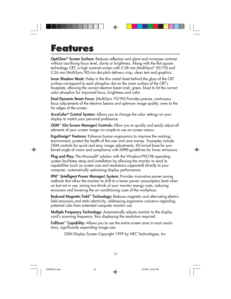### **Features**

OptiClear® Screen Surface: Reduces reflection and glare and increases contrast without sacrificing focus level, clarity or brightness. Along with the flat square technology CRT, a high contrast screen with 0.28 mm (MultiSync® 50/70) and 0.26 mm (MultiSync 90) trio dot pitch delivers crisp, clean text and graphics.

Invar Shadow Mask: Holes in the thin metal sheet behind the glass of the CRT surface correspond to each phosphor dot on the inner surface of the CRT's faceplate, allowing the correct electron beam (red, green, blue) to hit the correct color phosphor for improved focus, brightness and color.

Dual Dynamic Beam Focus: (MultiSync 70/90) Provides precise, continuous focus adjustments of the electron beams and optimum image quality, even to the far edges of the screen.

AccuColor<sup>®</sup> Control System: Allows you to change the color settings on your display to match your personal preference.

**OSM<sup>™</sup> (On-Screen Manager) Controls:** Allow you to quickly and easily adjust all elements of your screen image via simple to use on-screen menus.

**ErgoDesign<sup>®</sup> Features:** Enhance human ergonomics to improve the working environment, protect the health of the user and save money. Examples include OSM controls for quick and easy image adjustments, tilt/swivel base for preferred angle of vision and compliance with MPRII guidelines for lower emissions.

**Plug and Play:** The Microsoft<sup>®</sup> solution with the Windows®95/98 operating system facilitates setup and installation by allowing the monitor to send its capabilities (such as screen size and resolutions supported) directly to your computer, automatically optimizing display performance.

IPM™ (Intelligent Power Manager) System: Provides innovative power-saving methods that allow the monitor to shift to a lower power consumption level when on but not in use, saving two-thirds of your monitor energy costs, reducing emissions and lowering the air conditioning costs of the workplace.

Reduced Magnetic Field™ Technology: Reduces magnetic and alternating electric field emissions and static electricity, addressing ergonomic concerns regarding potential risks from extended computer monitor use.

Multiple Frequency Technology: Automatically adjusts monitor to the display card's scanning frequency, thus displaying the resolution required.

FullScan™ Capability: Allows you to use the entire screen area in most resolutions, significantly expanding image size.

OSM Display Screen Copyright 1999 by NEC Technologies, Inc.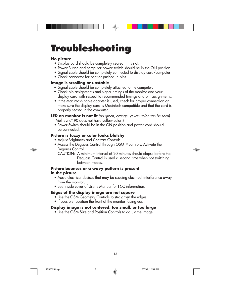## **Troubleshooting**

#### **No picture**

- Display card should be completely seated in its slot.
- Power Button and computer power switch should be in the ON position.
- Signal cable should be completely connected to display card/computer.
- Check connector for bent or pushed-in pins.

#### **Image is scrolling or unstable**

- Signal cable should be completely attached to the computer.
- Check pin assignments and signal timings of the monitor and your display card with respect to recommended timings and pin assignments.
- If the Macintosh cable adapter is used, check for proper connection or make sure the display card is Macintosh compatible and that the card is properly seated in the computer.

**LED on monitor is not lit** (no green, orange, yellow color can be seen) (MultiSync® 90 does not have yellow color.)

• Power Switch should be in the ON position and power cord should be connected.

#### **Picture is fuzzy or color looks blotchy**

- Adjust Brightness and Contrast Controls.
- Access the Degauss Control through OSM™ controls. Activate the Degauss Control.

CAUTION: A minimum interval of 20 minutes should elapse before the Deguass Control is used a second time when not switching between modes.

#### **Picture bounces or a wavy pattern is present in the picture**

- Move electrical devices that may be causing electrical interference away from the monitor.
- See inside cover of User's Manual for FCC information.

#### **Edges of the display image are not square**

- Use the OSM Geometry Controls to straighten the edges.
- If possible, position the front of the monitor facing east.

#### **Display image is not centered, too small, or too large**

• Use the OSM Size and Position Controls to adjust the image.

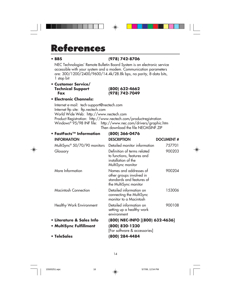### **References**

#### **• BBS (978) 742-8706**

NEC Technologies' Remote Bulletin Board System is an electronic service accessible with your system and a modem. Communication parameters are: 300/1200/2400/9600/14.4k/28.8k bps, no parity, 8-data bits, 1 stop bit

◈

**• Customer Service/ Technical Support (800) 632-4662**

**Fax (978) 742-7049**

**• Electronic Channels:**

Internet e-mail: tech-support@nectech.com Internet ftp site: ftp.nectech.com World Wide Web: http://www.nectech.com Product Registration: http://www.nectech.com/productregistration Windows® 95/98 INF file: http://www.nec.com/drivers/graphic.htm Then download the file NECMSINF.ZIP

| • FastFacts $\mathsf{^{TM}}$ Information | (800) 366-0476                                                                                           |                  |
|------------------------------------------|----------------------------------------------------------------------------------------------------------|------------------|
| <b>INFORMATION</b>                       | <b>DESCRIPTION</b>                                                                                       | <b>DOCUMENT#</b> |
| MultiSync <sup>®</sup> 50/70/90 monitors | Detailed monitor information                                                                             | 757701           |
| Glossary                                 | Definition of terms related<br>to functions, features and<br>installation of the<br>MultiSync monitor    | 900203           |
| More Information                         | Names and addresses of<br>other groups involved in<br>standards and features of<br>the MultiSync monitor | 900204           |
| <b>Macintosh Connection</b>              | Detailed information on<br>connecting the MultiSync<br>monitor to a Macintosh                            | 153006           |
| Healthy Work Environment                 | Detailed information on<br>setting up a healthy work<br>environment                                      | 900108           |
| • Literature & Sales Info                | (800) NEC-INFO [(800) 632-4636]                                                                          |                  |
| • MultiSync Fulfillment                  | (800) 820-1230<br>[For software & accessories]                                                           |                  |
| • TeleSales                              | (800) 284-4484                                                                                           |                  |

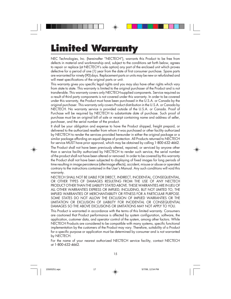## **Limited Warranty**

NEC Technologies, Inc. (hereinafter "NECTECH"), warrants this Product to be free from defects in material and workmanship and, subject to the conditions set forth below, agrees to repair or replace (at NECTECH's sole option) any part of the enclosed unit which proves defective for a period of one (1) year from the date of first consumer purchase. Spare parts are warranted for ninety (90) days. Replacement parts or units may be new or refurbished and will meet specifications of the original parts or unit.

This warranty gives you specific legal rights and you may also have other rights which vary from state to state. This warranty is limited to the original purchaser of the Product and is not transferable. This warranty covers only NECTECH-supplied components. Service required as a result of third party components is not covered under this warranty. In order to be covered under this warranty, the Product must have been purchased in the U.S.A. or Canada by the original purchaser. This warranty only covers Product distribution in the U.S.A. or Canada by NECTECH. No warranty service is provided outside of the U.S.A. or Canada. Proof of Purchase will be required by NECTECH to substantiate date of purchase. Such proof of purchase must be an original bill of sale or receipt containing name and address of seller, purchaser, and the serial number of the product.

It shall be your obligation and expense to have the Product shipped, freight prepaid, or delivered to the authorized reseller from whom it was purchased or other facility authorized by NECTECH to render the services provided hereunder in either the original package or a similar package affording an equal degree of protection. All Products returned to NECTECH for service MUST have prior approval, which may be obtained by calling 1-800-632-4662.

The Product shall not have been previously altered, repaired, or serviced by anyone other than a service facility authorized by NECTECH to render such service, the serial number of the product shall not have been altered or removed. In order to be covered by this warranty the Product shall not have been subjected to displaying of fixed images for long periods of time resulting in image persistence (afterimage effects), accident, misuse or abuse or operated contrary to the instructions contained in the User's Manual. Any such conditions will void this warranty.

NECTECH SHALL NOT BE LIABLE FOR DIRECT, INDIRECT, INCIDENTAL, CONSEQUENTIAL, OR OTHER TYPES OF DAMAGES RESULTING FROM THE USE OF ANY NECTECH PRODUCT OTHER THAN THE LIABILITY STATED ABOVE. THESE WARRANTIES ARE IN LIEU OF ALL OTHER WARRANTIES EXPRESS OR IMPLIED, INCLUDING, BUT NOT LIMITED TO, THE IMPLIED WARRANTIES OF MERCHANTABILITY OR FITNESS FOR A PARTICULAR PURPOSE. SOME STATES DO NOT ALLOW THE EXCLUSION OF IMPLIED WARRANTIES OR THE LIMITATION OR EXCLUSION OF LIABILITY FOR INCIDENTAL OR CONSEQUENTIAL DAMAGES SO THE ABOVE EXCLUSIONS OR LIMITATIONS MAY NOT APPLY TO YOU.

This Product is warranted in accordance with the terms of this limited warranty. Consumers are cautioned that Product performance is affected by system configuration, software, the application, customer data, and operator control of the system, among other factors. While NECTECH Products are considered to be compatible with many systems, specific functional implementation by the customers of the Product may vary. Therefore, suitability of a Product for a specific purpose or application must be determined by consumer and is not warranted by NECTECH.

For the name of your nearest authorized NECTECH service facility, contact NECTECH at 1-800-632-4662.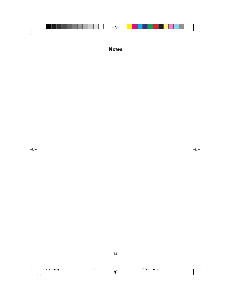|  | $\bigoplus$  |  |  |
|--|--------------|--|--|
|  |              |  |  |
|  |              |  |  |
|  |              |  |  |
|  |              |  |  |
|  | <b>Notes</b> |  |  |

16

 $\overline{\mathbb{R}}$ 

 $\Rightarrow$ 



 $\clubsuit$ 

 $\frac{1}{\sqrt{1-\frac{1}{2}}}$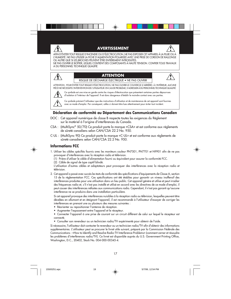#### **AVERTISSEMENT**



L'HUMIDITÉ. NE PAS UTILISER LA FICHE D'ALIMENTATION POLARISÉE AVEC UNE PRISE DE CORDON DE RALLONGE OU AUTRE QUE SI LES BROCHES PEUVENT ÊTRE ENTIÈREMENT INTRODUITES. NE PAS OUVRIR LE BOÎTIER, LEQUEL CONTIENT DES COMPOSANTS À HAUTE TENSION. CONFIER TOUS TRAVAUX À DU PERSONNEL TECHNIQUE QUALIFIÉ.

#### **ATTENTION**

RISQUE DE DÉCHARGE ÉLECTRIQUE • NE PAS OUVRIR



ATTENTION : POUR ÉVITER TOUT RISQUE D'ÉLECTROCUTION, NE PAS OUVRIR LE COUVERCLE (L'ARRIÈRE). À L'INTÉRIEUR, AUCUNE PIÈCE NE NÉCESSITE L'INTERVENTION DE L'UTILISATEUR. EN CAS DE PROBLÈME, S'ADRESSER À DU PERSONNEL TECHNIQUE QUALIFIÉ.



 $\mathcal{A}$ 

Ce symbole est une mise en garde contre les risques d'électrocution que présentent certaines parties dépourvues d'isolation à l'intérieur de l'appareil. Il est donc dangereux d'établir le moindre contact avec ces parties.

Ce symbole prévient l'utilisateur que des instructions d'utilisation et de maintenance de cet appareil sont fournies avec ce mode d'emploi. Par conséquent, celles-ci doivent être lues attentivement pour éviter tout incident.

#### **Déclaration de conformité au Département des Communications Canadien**

- DOC : Cet appareil numérique de classe B respecte toutes les exigences du Règlement sur le matériel à l'origine d'interférences du Canada.
- CSA : (MultiSync® 50/70) Ce produit porte la marque «CSA» et est conforme aux règlements de sûreté canadiens selon CAN/CSA 22.2 No. 950.
- C-UL : (MultiSync 90) Ce produit porte la marque «C-UL» et est conforme aux règlements de sûreté canadiens selon CAN/CSA 22.2 No. 950.



#### **Informations FCC**

- 1. Utiliser les câbles spécifiés fournis avec les moniteurs couleur PN7501, PN7701 et N9901 afin de ne pas provoquer d'interférences avec la réception radio et télévision.
	- (1) Prière d'utiliser le câble d'alimentation fourni ou équivalent pour assurer la conformité FCC.
	- (2) Câble de signal de type captif blindé.

L'utilisation d'autres câbles et adaptateurs peut provoquer des interférences avec la réception radio et télévision.

2. Cet appareil a passé avec succès les tests de conformité des spécifications d'équipements de Classe A, section 15 de la réglementation FCC. Ces spécifications ont été établies pour garantir un niveau inoffensif des interférences produites pour une utilisation dans un lieu public. Cet appareil génère et utilise et peut irradier des fréquences radio et, s'il n'est pas installé et utilisé en accord avec les directives de ce mode d'emploi, il peut causer des interférences néfastes aux communications radio. Cependant, il n'est pas garanti qu'aucune interférence ne se produira dans une installation particulière.

Si cet appareil provoque des interférences nuisibles à la réception radio ou télévision, lesquelles peuvent être décelées en allumant et en éteignant l'appareil, il est recommandé à l'utilisateur d'essayer de corriger les interférences en prenant une ou plusieurs des mesures suivantes :

- Réorienter ou repositionner l'antenne de réception.
- Augmenter l'espacement entre l'appareil et le récepteur.
- Connecter l'appareil à une prise de courant sur un circuit différent de celui sur lequel le récepteur est connecté.
- Consulter son revendeur ou un technicien radio/TV expérimenté pour obtenir de l'aide.

Si nécessaire, l'utilisateur doit contacter le revendeur ou un technicien radio/TV afin d'obtenir des informations supplémentaires. L'utilisateur peut se procurer le livret utile suivant, préparé par la Commission Fédérale des Communications : «How to Identify and Resolve Radio-TV Interference Problems» (comment cerner et résoudre les problèmes d'interférences radio/TV). Ce livret est disponible auprès du U.S. Government Printing Office, Washington, D.C., 20402, Stock No. 004-000-00345-4.

15500251.wpc 19 19 19 19 10 12:54 PM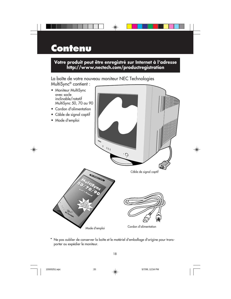## **Contenu**

#### **Votre produit peut être enregistré sur Internet à l'adresse http://www.nectech.com/productregistration**

⊕

La boîte de votre nouveau moniteur NEC Technologies MultiSync® contient :



\* Ne pas oublier de conserver la boîte et le matériel d'emballage d'origine pour transporter ou expédier le moniteur.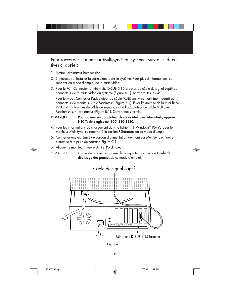

Pour raccorder le moniteur MultiSync® au système, suivre les directives ci-après :

- 1. Mettre l'ordinateur hors tension.
- 2. Si nécessaire, installer la carte vidéo dans le système. Pour plus d'informations, se reporter au mode d'emploi de la carte vidéo.
- 3. Pour le PC : Connecter la mini-fiche D-SUB à 15 broches du câble de signal captif au connecteur de la carte vidéo du système (Figure A.1). Serrer toutes les vis.

Pour le Mac : Connecter l'adaptateur de câble MultiSync Macintosh (non fourni) au connecteur de moniteur sur le Macintosh (Figure B.1). Fixer l'extrémité de la mini-fiche D-SUB à 15 broches du câble de signal captif à l'adaptateur de câble MultiSync Macintosh sur l'ordinateur (Figure B.1). Serrer toutes les vis.

#### REMARQUE : Pour obtenir un adaptateur de câble MultiSync Macintosh, appeler NEC Technologies au (800) 820-1230.

- 4. Pour les informations de chargement dans le fichier INF Windows® 95/98 pour le moniteur MultiSync, se reporter à la section Références de ce mode d'emploi.
- 5. Connecter une extrémité du cordon d'alimentation au moniteur MultiSync et l'autre extrémité à la prise de courant (Figure C.1).
- 6. Allumer le moniteur (Figure D.1) et l'ordinateur.

REMARQUE : En cas de problèmes, prière de se reporter à la section Guide de dépistage des pannes de ce mode d'emploi.



Figure A.1

19



15500251.wpc 21  $\downarrow$  5/7/99, 12:54 PM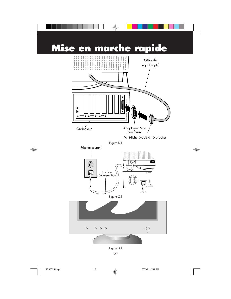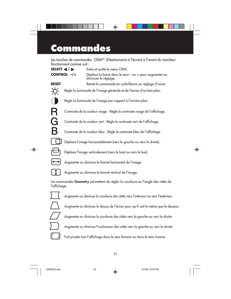## **Commandes**

Les touches de commandes OSM<sup>MC</sup> (Gestionnaire à l'écran) à l'avant du moniteur fonctionnent comme suit :

 $\bigoplus$ 

| SELECT $\blacktriangleleft$ / $\blacktriangleright$ |  | Entre et quitte le menu OSM.                                                     |
|-----------------------------------------------------|--|----------------------------------------------------------------------------------|
| CONTROL -/+                                         |  | Déplace la barre dans le sens - ou + pour augmenter ou<br>diminuer le réglage.   |
| <b>RESET</b>                                        |  | Remet la commande en surbrillance au réglage d'usine.                            |
|                                                     |  | Règle la luminosité de l'image générale et de l'écran d'arrière-plan.            |
|                                                     |  | Règle la luminosité de l'image par rapport à l'arrière-plan.                     |
| R                                                   |  | Contraste de la couleur rouge : Règle le contraste rouge de l'affichage.         |
| G                                                   |  | Contraste de la couleur vert : Règle le contraste vert de l'affichage.           |
| B                                                   |  | Contraste de la couleur bleu : Règle le contraste bleu de l'affichage.           |
|                                                     |  | Déplace l'image horizontalement (vers la gauche ou vers la droite).              |
|                                                     |  | Déplace l'image verticalement (vers le haut ou vers le bas).                     |
|                                                     |  | Augmente ou diminue le format horizontal de l'image.                             |
|                                                     |  | Augmente ou diminue le format vertical de l'image.                               |
| l'affichage.                                        |  | Les commandes Geometry permettent de régler la courbure ou l'angle des côtés de  |
|                                                     |  | Augmente ou diminue la courbure des côtés vers l'intérieur ou vers l'extérieur.  |
|                                                     |  | Augmente ou diminue le dessus de l'écran pour qu'il soit le même que le dessous. |

Augmente ou diminue la courbure des côtés vers la gauche ou vers la droite.

Augmente ou diminue l'inclinaison des côtés vers la gauche ou vers la droite.



15500251.wpc 23 5/7/99, 12:54 PM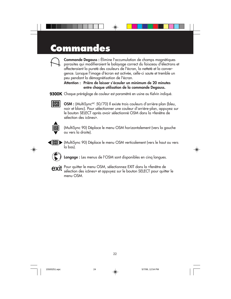## **Commandes**



Commande Degauss : Élimine l'accumulation de champs magnétiques parasites qui modifieraient le balayage correct du faisceau d'électrons et affecteraient la pureté des couleurs de l'écran, la netteté et la convergence. Lorsque l'image d'écran est activée, celle-ci saute et tremble un peu pendant la démagnétisation de l'écran.

◈

#### Attention : Prière de laisser s'écouler un minimum de 20 minutes entre chaque utilisation de la commande Degauss.

9300K Chaque préréglage de couleur est paramétré en usine au Kelvin indiqué.



OSM : (MultiSync<sup>MC</sup> 50/70) Il existe trois couleurs d'arrière-plan (bleu, noir et blanc). Pour sélectionner une couleur d'arrière-plan, appuyez sur le bouton SELECT après avoir sélectionné OSM dans la «fenêtre de sélection des icônes».



(MultiSync 90) Déplace le menu OSM horizontalement (vers la gauche ou vers la droite).



(MultiSync 90) Déplace le menu OSM verticalement (vers le haut ou vers la bas).



Langage : Les menus de l'OSM sont disponibles en cinq langues.



**EXIT** Pour quitter le menu OSM, sélectionnez EXIT dans la «fenêtre de sélection des icônes» et appuyez sur le bouton SELECT pour quitter le menu OSM.

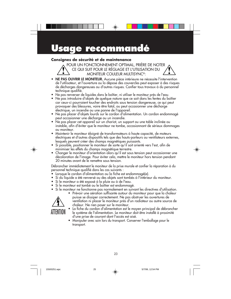## **Usage recommandé**

#### **Consignes de sécurité et de maintenance**

POUR UN FONCTIONNEMENT OPTIMAL, PRIÈRE DE NOTER CE QUI SUIT POUR LE RÉGLAGE ET L'UTILISATION DU MONITEUR COULEUR MULTISYNC®:

- NE PAS OUVRIR LE MONITEUR. Aucune pièce intérieure ne nécessite l'intervention de l'utilisateur, et l'ouverture ou la dépose des couvercles peut exposer à des risques de décharges dangereuses ou d'autres risques. Confier tous travaux à du personnel technique qualifié.
- Ne pas renverser de liquides dans le boîtier, ni utiliser le moniteur près de l'eau.
- Ne pas introduire d'objets de quelque nature que ce soit dans les fentes du boîtier car ceux-ci pourraient toucher des endroits sous tension dangereuse, ce qui peut provoquer des blessures, voire être fatal, ou peut occasionner une décharge électrique, un incendie ou une panne de l'appareil.
- Ne pas placer d'objets lourds sur le cordon d'alimentation. Un cordon endommagé peut occasionner une décharge ou un incendie.
- Ne pas placer cet appareil sur un chariot, un support ou une table inclinée ou instable, afin d'éviter que le moniteur ne tombe, occasionnant de sérieux dommages au moniteur.
- Maintenir le moniteur éloigné de transformateurs à haute capacité, de moteurs électriques et d'autres dispositifs tels que des hauts-parleurs ou ventilateurs externes, lesquels peuvent créer des champs magnétiques puissants.
- Si possible, positionner le moniteur de sorte qu'il soit orienté vers l'est, afin de minimiser les effets du champs magnétique terrestre.
- Changer le moniteur d'orientation alors qu'il est sous tension peut occasionner une décoloration de l'image. Pour éviter cela, mettre le moniteur hors tension pendant 20 minutes avant de le remettre sous tension.

Débrancher immédiatement le moniteur de la prise murale et confier la réparation à du personnel technique qualifié dans les cas suivants :

- Lorsque le cordon d'alimentation ou la fiche est endommagé(e).
- Si du liquide a été renversé ou des objets sont tombés à l'intérieur du moniteur.
- 
- Si le moniteur a été exposé à la pluie ou à de l'eau. • Si le moniteur est tombé ou le boîtier est endommagé.
- Si le moniteur ne fonctionne pas normalement en suivant les directives d'utilisation.
	- Prévoir une aération suffisante autour du moniteur pour que la chaleur puisse se dissiper correctement. Ne pas obstruer les ouvertures de ventilation ni placer le moniteur près d'un radiateur ou autre source de

ALIENTION

- chaleur. Ne rien poser sur le moniteur. • La fiche du cordon d'alimentation est le moyen principal de débrancher le système de l'alimentation. Le moniteur doit être installé à proximité d'une prise de courant dont l'accès est aisé.
- Manipuler avec soin lors du transport. Conserver l'emballage pour le transport.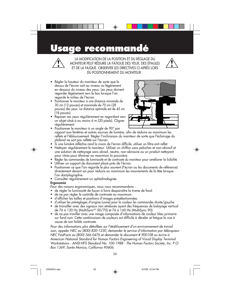### **Usage recommandé**



LA MODIFICATION DE LA POSITION ET DU RÉGLAGE DU MONITEUR PEUT RÉDUIRE LA FATIGUE DES YEUX, DES ÉPAULES ET DE LA NUQUE. OBSERVER LES DIRECTIVES CI-APRÈS LORS DU POSITIONNEMENT DU MONITEUR :



- Positionner le moniteur à une distance minimale de 30 cm (12 pouces) et maximale de 70 cm (28 pouces) des yeux. La distance optimale est de 45 cm (18 pouces).
- Reposer ses yeux régulièrement en regardant vers un objet situé à au moins 6 m (20 pieds). Cligner régulièrement.



- Positionner le moniteur à un angle de 90° par rapport aux fenêtres et autres sources de lumière, afin de réduire au maximum les reflets et l'éblouissement. Régler l'inclinaison du moniteur de sorte que l'éclairage du plafond ne soit pas reflété sur l'écran.
- Si une lumière réfléchie rend la vision de l'écran difficile, utiliser un filtre anti-reflet.
- Nettoyer régulièrement le moniteur. Utiliser un chiffon sans peluches et non-abrasif et une solution de nettoyage sans alcool, neutre, non-abrasive ou un produit nettoyant pour vitres pour éliminer au maximum la poussière.
- Régler les commandes de luminosité et de contraste du moniteur pour améliorer la lisibilité.
- Utiliser un support de document placé près de l'écran.
- Positionner ce que l'on regarde le plus souvent (l'écran ou les documents de référence) directement devant soi pour réduire au maximum les mouvements de la tête lorsque l'on dactylographie.
- Consulter régulièrement un ophtalmologiste.

#### Ergonomie

Pour des raisons ergonomiques, nous vous recommandons :

- de régler la luminosité de façon à faire desparaître la trame de fond.
- de ne pas régler le contröle de contraste au maximum.
- d'afficher les tailles et positions d'images présélectionnées.
- d'utiliser les préréglages d'origine (usine) pour la couleur les commandes droite/gauche.
- de travailler avec des signaux non etrelacés ayant des fréquences de balayage vertical de 76 à 120 Hz (MultiSyncMC 50/70) et 76 à 160 Hz (MultiSync 90).
- de ne pas traviller avec une image composée d'informations de couleur bleu primaire sur fond noir. Cette combinaison de couleurs est difficile à déceler et fatigue la vue à cause de son faible contraste.

Pour des informations plus détaillées sur l'établissement d'un environnement de travail sain, appeler NEC au (800) 820-1230, demander le service d'information par télécopieur NEC FastFacts au (800) 366-0476 et demander le document # 900108 ou écrire à American National Standard for Human Factors Engineering of Visual Display Terminal Workstations - ANSI-HFS Standard No. 100-1988 - The Human Factors Society, Inc. P.O. Box 1369, Santa Monica, California 90406.

15500251.wpc 26 26  $\downarrow$  5/7/99, 12:54 PM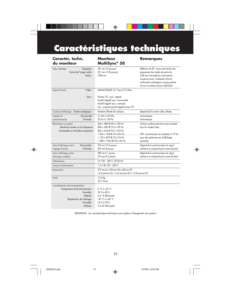## **Caractéristiques techniques**

 $\clubsuit$ 

| Caractér. techn.<br>du moniteur                                                                                                                       | <b>Moniteur</b><br>MultiSync® 50                                                                                                                                                  | <b>Remarques</b>                                                                                                                                                                                                                                                |
|-------------------------------------------------------------------------------------------------------------------------------------------------------|-----------------------------------------------------------------------------------------------------------------------------------------------------------------------------------|-----------------------------------------------------------------------------------------------------------------------------------------------------------------------------------------------------------------------------------------------------------------|
| Diagonale:<br>Tube cathodique<br>Format de l'image visible :<br>Radius:                                                                               | 381 mm (15 pouces)<br>351 mm (13.8 pouces)<br>1080 mm                                                                                                                             | Déflexion de 90°, écran semi-teinté avec<br>espacement des triplets de points de<br>0,28 mm; luminophore à persistance<br>moyenne-courte; revêtement d'écran<br>multicouche antistatique; masque perforé<br>d'invar et surface d'écran OptiClear <sup>®</sup> . |
| Vidéo:<br>Signal d'entrée<br>Sync:                                                                                                                    | ANALOGIQUE O,7 Vp-p/75 Ohms<br>Niveau TTL. sync. séparé<br>Positif/négatif sync. horizontale<br>Positif/négatif sync. verticale<br>Sync. composite (positif/négatif) (niveau TTL) |                                                                                                                                                                                                                                                                 |
| Couleurs d'affichage Entrée analogique :                                                                                                              | Nombre illimité de couleurs                                                                                                                                                       | Dépend de la carte vidéo utilisée.                                                                                                                                                                                                                              |
| Horizontale:<br>Gamme de<br>Verticale:<br>synchronisation                                                                                             | 31 kHz à 69 kHz<br>55 Hz à 120 Hz                                                                                                                                                 | Automatique<br>Automatique                                                                                                                                                                                                                                      |
| Résolutions acceptées<br>Résolutions basées sur les fréquences<br>horizontales et verticales uniquement                                               | 640 x 480 @ 60 à 120 Hz<br>800 x 600 @ 55 à 109 Hz<br>832 x 624 @ 55 à 103 Hz<br>$1024 \times 768$ @ 55 à 85 Hz<br>1 152 x 870 @ 55 à 76 Hz<br>1 280 x 1024 @ 55 à 65 Hz          | Certains systèmes peuvent ne pas accepter<br>tous les modes listés.<br>NEC recommande une résolution à 75 Hz<br>pour des performances d'affichage<br>optimales.                                                                                                 |
| Horizontale:<br>Zone d'affichage active<br>Verticale :<br>(réglage d'usine)                                                                           | 270 mm/10.6 pouces<br>202 mm/8 pouces                                                                                                                                             | Dépend de la synchronisation du signal<br>utilisée et ne comprend pas la zone de bord.                                                                                                                                                                          |
| Zone d'affichage active<br>(balayage complet)                                                                                                         | 280 mm/11 pouces<br>$210$ mm/8.3 pouces                                                                                                                                           | Dépend de la synchronisation du signal<br>utilisée et ne comprend pas la zone de bord.                                                                                                                                                                          |
| Alimentation                                                                                                                                          | CA 100 - 240 V, 50/60 Hz                                                                                                                                                          |                                                                                                                                                                                                                                                                 |
| Tension d'alimentation                                                                                                                                | 1,5 A @ 100 - 240 V                                                                                                                                                               |                                                                                                                                                                                                                                                                 |
| Dimensions                                                                                                                                            | 372 mm (L) x 396 mm (H) x 402 mm (P)<br>14,6 pouces (L) x 15,6 pouces (H) x 15,8 pouces (P)                                                                                       |                                                                                                                                                                                                                                                                 |
| Poids                                                                                                                                                 | 13,5 kg<br>29,7 livres                                                                                                                                                            |                                                                                                                                                                                                                                                                 |
| Considérations environnementales<br>Température de fonctionnement :<br>Humidité:<br>Altitude:<br>Température de stockage :<br>Humidité :<br>Altitude: | $0 °C \hat{a} + 35 °C$<br>30 % à 80 %<br>0 à 10 000 pieds<br>-20 °C à +60 °C<br>10 % à 90 %<br>0 à 45 000 pieds                                                                   |                                                                                                                                                                                                                                                                 |

REMARQUE : Les caractéristiques techniques sont sujettes à changement sans préavis.

◈

 $\bigoplus$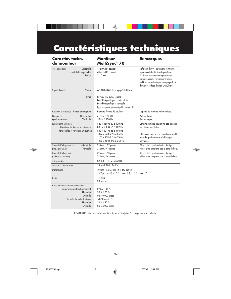## **Caractéristiques techniques**

 $\clubsuit$ 

| Caractér. techn.<br>du moniteur                                                                                                                      | <b>Moniteur</b><br>MultiSync® 70                                                                                                                                                  | <b>Remarques</b>                                                                                                                                                                                                                                   |
|------------------------------------------------------------------------------------------------------------------------------------------------------|-----------------------------------------------------------------------------------------------------------------------------------------------------------------------------------|----------------------------------------------------------------------------------------------------------------------------------------------------------------------------------------------------------------------------------------------------|
| Diagonale:<br>Tube cathodique<br>Format de l'image visible :<br>Radius:                                                                              | 432 mm (17 pouces)<br>406 mm (16 pouces)<br>1210 mm                                                                                                                               | Déflexion de 90°, écran semi-teinté avec<br>espacement des triplets de points de<br>0,28 mm; luminophore à persistance<br>moyenne-courte; revêtement d'écran<br>multicouche antistatique; masque perforé<br>d'invar et surface d'écran OptiClear®. |
| Vidéo:<br>Signal d'entrée<br>Sync:                                                                                                                   | ANALOGIQUE O,7 Vp-p/75 Ohms<br>Niveau TTL. sync. séparé<br>Positif/négatif sync. horizontale<br>Positif/négatif sync. verticale<br>Sync. composite (positif/négatif) (niveau TTL) |                                                                                                                                                                                                                                                    |
| Couleurs d'affichage Entrée analogique :                                                                                                             | Nombre illimité de couleurs                                                                                                                                                       | Dépend de la carte vidéo utilisée.                                                                                                                                                                                                                 |
| Horizontale:<br>Gamme de<br>Verticale:<br>synchronisation                                                                                            | 31 kHz à 69 kHz<br>55 Hz à 120 Hz                                                                                                                                                 | Automatique<br>Automatique                                                                                                                                                                                                                         |
| Résolutions acceptées<br>Résolutions basées sur les fréquences<br>horizontales et verticales uniquement                                              | 640 x 480 @ 60 à 120 Hz<br>800 x 600 @ 55 à 109 Hz<br>832 x 624 @ 55 à 103 Hz<br>1152 x 870 @ 55 à 76 Hz<br>1280 x 1024 @ 55 à 65 Hz                                              | Certains systèmes peuvent ne pas accepter<br>tous les modes listés.<br>NEC recommande une résolution à 75 Hz<br>pour des performances d'affichage<br>optimales.                                                                                    |
| Horizontale:<br>Zone d'affichage active<br>Verticale:<br>(réglage d'usine)                                                                           | 310 mm/12,2 pouces<br>232 mm/9.1 pouces                                                                                                                                           | Dépend de la synchronisation du signal<br>utilisée et ne comprend pas la zone de bord.                                                                                                                                                             |
| Zone d'affichage active<br>(balayage complet)                                                                                                        | 325 mm/12.8 pouces<br>244 mm/9.6 pouces                                                                                                                                           | Dépend de la synchronisation du signal<br>utilisée et ne comprend pas la zone de bord.                                                                                                                                                             |
| Alimentation                                                                                                                                         | CA 100 - 120 V, 50/60 Hz                                                                                                                                                          |                                                                                                                                                                                                                                                    |
| Tension d'alimentation                                                                                                                               | 1.8 A @ 100 - 240 V                                                                                                                                                               |                                                                                                                                                                                                                                                    |
| <b>Dimensions</b>                                                                                                                                    | 403 mm (L) x 427 mm (H) x 440 mm (P)<br>15.9 pouces (L) x 16.8 pouces (H) x 17.3 pouces (P)                                                                                       |                                                                                                                                                                                                                                                    |
| Poids                                                                                                                                                | 17.5 kg<br>38.5 livres                                                                                                                                                            |                                                                                                                                                                                                                                                    |
| Considérations environnementales<br>Température de fonctionnement :<br>Humidité:<br>Altitude:<br>Température de stockage :<br>Humidité:<br>Altitude: | $0 °C \dot{a} + 35 °C$<br>30 % à 80 %<br>0 à 10 000 pieds<br>$-20$ °C à +60 °C<br>10 % à 90 %<br>0 à 45 000 pieds                                                                 |                                                                                                                                                                                                                                                    |

REMARQUE : Les caractéristiques techniques sont sujettes à changement sans préavis.

26

◈

 $\bigoplus$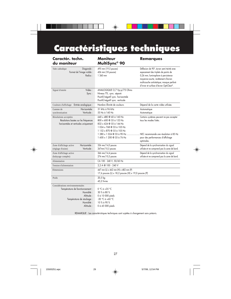## **Caractéristiques techniques**

 $\clubsuit$ 

| Caractér. techn.<br>du moniteur                                                                                                                      | <b>Moniteur</b><br>MultiSync <sup>®</sup> 90                                                                                                                         | <b>Remarques</b>                                                                                                                                                                                                                                   |
|------------------------------------------------------------------------------------------------------------------------------------------------------|----------------------------------------------------------------------------------------------------------------------------------------------------------------------|----------------------------------------------------------------------------------------------------------------------------------------------------------------------------------------------------------------------------------------------------|
| Diagonale:<br>Tube cathodique<br>Format de l'image visible :<br>Radius:                                                                              | 495 mm (19,5 pouces)<br>456 mm (18 pouces)<br>1 360 mm                                                                                                               | Déflexion de 90°, écran semi-teinté avec<br>espacement des triplets de points de<br>0,26 mm; luminophore à persistance<br>moyenne-courte; revêtement d'écran<br>multicouche antistatique; masque perforé<br>d'invar et surface d'écran OptiClear®. |
| Vidéo:<br>Signal d'entrée<br>Sync:                                                                                                                   | ANALOGIQUE O,7 Vp-p/75 Ohms<br>Niveau TTL. sync. séparé<br>Positif/négatif sync. horizontale<br>Positif/négatif sync. verticale                                      |                                                                                                                                                                                                                                                    |
| Couleurs d'affichage Entrée analogique :                                                                                                             | Nombre illimité de couleurs                                                                                                                                          | Dépend de la carte vidéo utilisée.                                                                                                                                                                                                                 |
| Horizontale:<br>Gamme de<br>Verticale:<br>synchronisation                                                                                            | 31 kHz à 96 kHz<br>55 Hz à 160 Hz                                                                                                                                    | Automatique<br>Automatique                                                                                                                                                                                                                         |
| Résolutions acceptées<br>Résolutions basées sur les fréquences<br>horizontales et verticales uniquement                                              | 640 x 480 @ 60 à 160 Hz<br>800 x 600 @ 55 à 153 Hz<br>832 x 624 @ 55 à 144 Hz<br>1024 x 768 @ 55 à 105 Hz<br>1 152 x 870 @ 55 à 105 Hz<br>1 600 x 1 200 @ 55 à 76 Hz | Certains systèmes peuvent ne pas accepter<br>tous les modes listés.<br>1 280 x 1 024 @ 55 à 90 Hz  NEC recommande une résolution à 85 Hz<br>pour des performances d'affichage<br>optimales.                                                        |
| Horizontale:<br>Zone d'affichage active<br>Verticale:<br>(réglage d'usine)                                                                           | 356 mm/14,0 pouces<br>267mm/10,5 pouces                                                                                                                              | Dépend de la synchronisation du signal<br>utilisée et ne comprend pas la zone de bord.                                                                                                                                                             |
| Zone d'affichage active<br>(balayage complet)                                                                                                        | 366 mm/14,4 pouces<br>274 mm/10,5 pouces                                                                                                                             | Dépend de la synchronisation du signal<br>utilisée et ne comprend pas la zone de bord.                                                                                                                                                             |
| Alimentation                                                                                                                                         | CA 100 - 240 V, 50/60 Hz                                                                                                                                             |                                                                                                                                                                                                                                                    |
| Tension d'alimentation                                                                                                                               | 2,2 A @ 100 - 240 V                                                                                                                                                  |                                                                                                                                                                                                                                                    |
| <b>Dimensions</b>                                                                                                                                    | 447 mm (L) x 462 mm (H) x 482 mm (P)<br>17,6 pouces (L) x 18,2 pouces (H) x 19,0 pouces (P)                                                                          |                                                                                                                                                                                                                                                    |
| Poids                                                                                                                                                | 20,5 kg<br>45,2 livres                                                                                                                                               |                                                                                                                                                                                                                                                    |
| Considérations environnementales<br>Température de fonctionnement :<br>Humidité:<br>Altitude:<br>Température de stockage :<br>Humidité:<br>Altitude: | $0 °C$ à +35 °C<br>30 % à 80 %<br>0 à 10 000 pieds<br>$-20$ °C à +60 °C<br>10 % à 90 %<br>0 à 45 000 pieds                                                           |                                                                                                                                                                                                                                                    |

REMARQUE : Les caractéristiques techniques sont sujettes à changement sans préavis.

27

 $\color{red}\blacklozenge$ 

 $\bigoplus$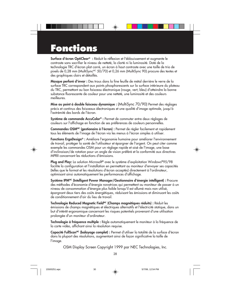### **Fonctions**

Surface d'écran OptiClear® : Réduit la réflexion et l'éblouissement et augmente le contraste sans sacrifier le niveau de netteté, la clarté ni la luminosité. Doté de la technologie TRC d'écran plat carré, un écran à haut contraste avec une taille de trio de pixels de 0,28 mm (MultiSync<sup>MC</sup> 50/70) et 0,26 mm (MultiSync 90) procure des textes et des graphiques clairs et détaillés.

Masque perforé d'invar : Des trous dans la fine feuille de métal derrière le verre de la surface TRC correspondent aux points phosphorescents sur la surface intérieure du plateau du TRC, permettant au bon faisceau électronique (rouge, vert, bleu) d'atteindre la bonne substance fluorescente de couleur pour une netteté, une luminosité et des couleurs meilleures.

Mise au point à double faisceau dynamique : (MultiSync 70/90) Permet des réglages précis et continus des faisceaux électroniques et une qualité d'image optimale, jusqu'à l'extrémité des bords de l'écran.

Système de commande AccuColor® : Permet de commuter entre deux réglages de couleurs sur l'affichage en fonction de ses préférences de couleurs personnelles.

Commandes OSMMC (gestionaire à l'écran) : Permet de régler facilement et rapidement tous les éléments de l'image de l'écran via les menus à l'écran simples à utiliser.

Fonctions ErgoDesign® : Améliore l'ergonomie humaine pour améliorer l'environnement de travail, protéger la santé de l'utilisateur et épargner de l'argent. On peut citer comme exemple les commandes OSM pour un réglage rapide et aisé de l'image, une base d'inclinaison/de rotation pour un angle de vision préféré et la conformité aux directives MPRII concernant les réductions d'émissions.

Plug and Play: La solution Microsoft® avec le système d'exploitation Windows®95/98 facilite la configuration et l'installation en permettant au moniteur d'envoyer ses capacités (telles que le format et les résolutions d'écran acceptés) directement à l'ordinateur, optimisant ainsi automatiquement les performances d'affichage.

Système IPM<sup>MC</sup> (Intelligent Power Manager/Gestionnaire d'énergie intelligent) : Procure des méthodes d'économie d'énergie novatrices qui permettent au moniteur de passer à un niveau de consommation d'énergie plus faible lorsqu'il est allumé mais non utilisé, épargnant deux tiers des coûts énergétiques, réduisant les émissions et diminuant les coûts de conditionnement d'air du lieu de travail.

Technologie Reduced Magnetic Field<sup>MC</sup> (Champs magnétiques réduits) : Réduit les émissions de champs magnétiques et électriques alternatifs et l'électricité statique, dans un but d'intérêt ergonomique concernant les risques potentiels provenant d'une utilisation prolongée d'un moniteur d'ordinateur.

Technologie à fréquence multiple : Règle automatiquement le moniteur à la fréquence de la carte vidéo, affichant ainsi la résolution requise.

Capacité FullScan<sup>MC</sup> (balayage complet) : Permet d'utiliser la totalité de la surface d'écran dans la plupart des résolutions, augmentant ainsi de façon significative la taille de l'image.

OSM Display Screen Copyright 1999 par NEC Technologies, Inc.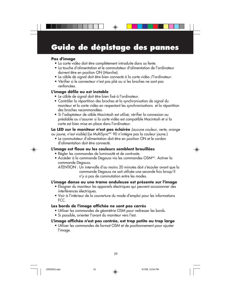### **Guide de dépistage des pannes**

⊕

#### **Pas d'image**

- La carte vidéo doit être complètement introduite dans sa fente.
- La touche d'alimentation et le commutateur d'alimentation de l'ordinateur doivent être en position ON (Marche).
- Le câble de signal doit être bien connecté à la carte vidéo /l'ordinateur.
- Vérifier si le connecteur n'est pas plié ou si les broches ne sont pas renfoncées.

#### **L'image défile ou est instable**

- Le câble de signal doit être bien fixé à l'ordinateur.
- Contrôler la répartition des broches et la synchronisation de signal du moniteur et la carte vidéo en respectant les synchronisations et la répartition des broches recommandées.
- Si l'adaptateur de câble Macintosh est utilisé, vérifier la connexion au préalable ou s'assurer si la carte vidéo est compatible Macintosh et si la carte est bien mise en place dans l'ordinateur.

**La LED sur le moniteur n'est pas éclairée** (aucune couleur, verte, orange ou jaune, n'est visible) (Le MultiSync<sup>MC</sup> 90 n'intègre pas la couleur jaune.)

• Le commutateur d'alimentation doit être en position ON et le cordon d'alimentation doit être connecté.

#### **L'image est floue ou les couleurs semblent brouillées**

- Régler les commandes de luminosité et de contraste.
- Accéder à la commande Degauss via les commandes OSMMC. Activer la commande Degauss.

ATENTION : Un intervalle d'au moins 20 minutes doit s'écouler avant que la commande Degauss ne soit utilisée une seconde fois lorsqu'il n'y a pas de commutation entre les modes.

#### **L'image danse ou une trame onduleuse est présente sur l'image**

- Éloigner du moniteur les appareils électriques qui peuvent occasionner des interférences électriques.
- Voir à l'intérieur de la couverture du mode d'emploi pour les informations FCC.

#### **Les bords de l'image affichée ne sont pas carrés**

- Utiliser les commandes de géométrie OSM pour redresser les bords.
- Si possible, orienter l'avant du moniteur vers l'est.

#### **L'image affichée n'est pas centrée, est trop petite ou trop large**

• Utiliser les commandes de format OSM et de positionnement pour ajuster l'image.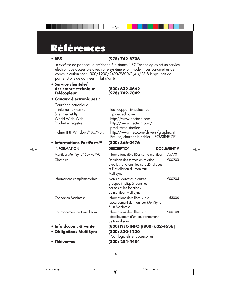## **Références**

#### **• BBS (978) 742-8706**

Le système de panneau d'affichage à distance NEC Technologies est un service électronique accessible avec votre système et un modem. Les paramètres de communication sont : 300/1200/2400/9600/1,4 k/28,8 k bps, pas de parité, 8 bits de données, 1 bit d'arrêt

◈

#### **• Service clientèle/ Assistance technique (800) 632-4662 Télécopieur (978) 742-7049**

#### **• Canaux électroniques :**

### Courrier électronique<br>internet (e-mail) : Site internet ftp :<br>World Wide Web: World Wide Web: http://www.nectech.com<br>Produit enregistré: http://www.nectech.com

# tech-support@nectech.com<br>ftp.nectech.com

http://www.nectech.com/

## **• Informations FastFactsMC (800) 366-0476**

#### **• Info docum. & vent**

- **Obligations MultiSy**
- **Téléventes (800) 284-4484**

#### productregistration Fichier INF Windows® 95/98 : http://www.nec.com/drivers/graphic.htm Ensuite, charger le fichier NECMSINF.ZIP INFORMATION DESCRIPTION DOCUMENT # Moniteur MultiSync® 50/70/90 Informations détaillées sur le moniteur 757701

| Glossaire                     | Définition des termes en relation<br>avec les fonctions, les caractéristiques<br>et l'installation du moniteur<br>MultiSync | 900203 |
|-------------------------------|-----------------------------------------------------------------------------------------------------------------------------|--------|
| Informations complémentaires  | Noms et adresses d'autres<br>groupes impliqués dans les<br>normes et les fonctions<br>du moniteur MultiSync                 | 900204 |
| Connexion Macintosh           | Informations détaillées sur le<br>raccordement du moniteur MultiSync<br>à un Macintosh                                      | 153006 |
| Environnement de travail sain | Informations détaillées sur<br>l'établissement d'un environnement<br>de travail sain                                        | 900108 |
| Info docum. & vente           | (800) NEC-INFO [(800) 632-4636]                                                                                             |        |
| <b>Obligations MultiSync</b>  | (800) 820-1230<br>[Pour logiciels et accessoires]                                                                           |        |

15500251.wpc 32 5/7/99, 12:54 PM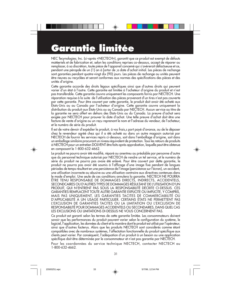## **Garantie limitée**

NEC Tecynologies; Inc. (ci-après «NECTECH»), garantit que ce produit est exempt de défauts matéeriels et de fabrication et, selon les conditions reprises co-dessous, accept de réparer ou remplacer, à sa discrétion, toute piéce de l'appareil concemé qui s'avérerait défactueuse et ce, pendant une péropde de un (1) an à [artor de ;a date d'achat initial. Les pièces de rechange sont garanties pendant quatre-vingt dix (90) jours. Les pièces de rechange ou unités peuvent ëtre neuves ou recyclées et seront conformes aux normes des spécifications des pièces et des unités d'origine.

Cette garantie accorde des droits légaux spécifiques ainsi que d'autres droits qui peuvent varier d'un état à l'autre. Cette garantie est limitée à l'acheteur d'origine du produit et n'est pas transférable. Cette garantie couvre uniquement les composants fornis par NECTECH. Une réparation requise à la suite de l'utilisation des pièces provenant d'un tires n'est pas couverte par cette garantie. Pour être couvert par cette garantie, le produit doit avoir été acheté aux États-Unis ou au Canada par l'acheteur d'origine. Cette garantie couvre uniquement la distribution du produit aux États-Unis ou au Canada par NECTECH. Aucun service au titre de la garantie ne sera offert en dehors des États-Unis ou du Canada. La preuve d'achat sera exigée par NECTECH pour prouver la date d'achat. Une telle preuve d'achat doit être une facture de vente d'origine ou un reçu reprenant le nom et l'adresse du vendeur, de l'acheteur, et le numéro de série du produit.

Il est de votre devoir d'expédier le produit, à vos frais,s port payé d'avance, ou de le déposer chez le revendeur agréé chez qui il a été acheté ou dans un autre magasin autorisé par NECTECH de fournir les services repris ci-dessous, soit dans l'emballage d'origine, soit dans un emballage similaire procurant un niveau équivalent de protection. Tous les retours de produits à NECTECH pour un entretien DOLVENT être faits après approbation, laquelle peut être obtenue en composant le 1-800-632-4662.

Le produit ne pourra avoir été modifié, réparé ou anentreu au préalable par personne d'autre que du personnel technique autorisé par NECTECH de rendre un tel service, et le numéro de série du produit ne pourra pas avoie été enlevé. Pour être couvert par dette garantie, le produit ne pourra pas avoir été soumis à l'afficage d'une image fixe pendant de longues périodes de temps résultant en une persistance de l'image (persistance sur l'écran), un accident, une utilisation incorrecte ou abusive ou une utilisation contraire aux directives contenues dans le mode d'emploi. Une seule de ces conditions annulera la garantie. NECTECH NE POURRA ÊTRE TENU RESPONSABLE DE DOMMAGES DIRECTS, INDIRECTS, ACCIDENTELS, SECONDCAIRES OU D'AUTRES TYPES DE DOMMAGES RÉSULTANT DE L'UTILISATION D'UN PRODUIT, QUI N'ENTRENT PAS SOUS LA RESPONSABILITÉ DÉCRITE CI-DESSUS. CES GARANTIES REMPLACENT TOUTE AUTRE GARANTIE EXPLICITE OU IMPLICITE, Y COMPRIS, MAIS PAS UNIQUEMENT, LES GARANTIES TACITES DE COMMERCIABILITÉ OU D'APPLICABILITÉ À UN USAGE PARTICULIER. CERTAINS ÉTATS NE PERMETTENT PAS L'EXCLUSION DE GARANTIES TACITES OU LA LIMITATION OU L'EXCLUSION DE RESPONSABILITÉ POUR DOMMAGES ACCIDENTELS OU SECONDAIRES, DANS QUEL CAS LES EXCLUSIONS OU LIMITATIONS DI-DESSUS NE VOUS CONCERNENT PAS.

Ce produit est garanti selon les termes de cette garantie limitée. Les consommateurs doivent savoir que les performances du produit pauvent varier selon le configuration du système, le logiciel, l'application, les données du client et la manière dont le produit est utilisé par l'opérateur, ainsi que d'autres facterus. Alors que les produits NECTECH sont considérés comme étant compatibles avec de nombreux systèmes, l'affectation fonctionnelle du produit spécifique aux clients peut varier. Par conséquent, l'adéquation d'un produit à un besoin ou une application spécifique doit être déterminée par le consommateur et n'est pas garantie par NECTECH.

Pour les coordonnées du service technique NECTECH, contacter NECTECH au 1-800-632-4662.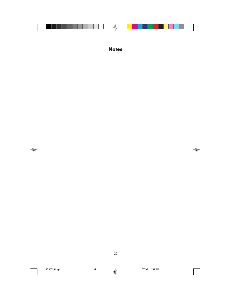|  | $\bigoplus$  |  |
|--|--------------|--|
|  |              |  |
|  |              |  |
|  |              |  |
|  |              |  |
|  | <b>Notes</b> |  |

32

 $\equiv$ 

 $\Rightarrow$ 



 $\clubsuit$ 

 $\begin{array}{c} \hline \hline \hline \hline \hline \hline \hline \end{array}$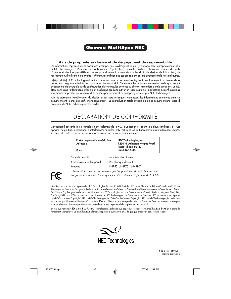

#### **Gamme MultiSync NEC**

#### **Avis de propriété exclusive et de dégagement de responsabilité**

Les informations reprises dans ce document, y compris tous les designs et ce qui s'y rapporte, sont la propriété matérielle de NEC Technologies, et/ou ses concédants, comme d'application, réserve les droits de fabrication brevetée, de droits d'auteurs et d'autres propriétés exclusives à ce document, y compris tous les droits de design, de fabrication, de reproduction, d'utilisation et de vente y afférent, à condition que ces droits n'ont pas été directement délivrés à d'autres.

Le(s) produit(s) NEC Technologies dont il est question dans ce document sont garantis conformément aux termes de la déclaration de garantie limitée accompagnant chaque produit. Cependant, les performances réelles de chaque produit dépendent de facteurs tels que la configuration du système, les données du client et la manière dont le produit est utilisé. Étant donné que l'affectation par les clients de chaque produit peut varier, l'adéquation et l'application de configurations spécifiques du produit peuvent être déterminées par le client et ne sont pas garanties par NEC Technologies.

Afin de permettre l'amélioration du design et des caractéristiques techniques, les informations contenues dans ce document sont sujettes à modifications sans préavis. La reproduction totale ou partielle de ce document sans l'accord préalable de NEC Technologies est interdite.

#### DÉCLARATION DE CONFORMITÉ

Cet appareil est conforme à l'article 15 du règlement de la FCC. L'utilisation est soumise à deux conditions. (1) Cet appareil ne peut pas occasionner d'interférences nuisibles, et (2) cet appareil doit accepter toutes interférences reçues, y compris les interférences qui peuvent occasionner un mauvais fonctionnement.

| Partie responsable américaine :<br>Adresse:<br>$#$ tél. : | NEC Technologies, Inc.<br>1250 N. Arlington Heights Road<br>Itasca, Illinois 60143<br>(630) 467-5000 |
|-----------------------------------------------------------|------------------------------------------------------------------------------------------------------|
| Type de produit :<br>Classification de l'appareil :       | Moniteur d'ordinateur<br>Périphérique classe B                                                       |
| Models <sup>.</sup>                                       | PN7501, PN7701 et N9901                                                                              |

FC.

*Nous déclarons par la présente que l'appareil mentionné ci-dessus est conforme aux normes techniques spécifiées dans le règlement de la FCC.*

MultiSync est une marque déposée de NEC Technologies, Inc. aux États-Unis et de NEC Home Electronics, Ltd. au Canada, au R.-U., en Allemagne, en France, en Espagne, en Italie, en Autriche, au Benelux, en Suisse, au Danemark, en Finlande et en Arabie Saoudite. AccuColor, OptiClear et ErgoDesign sont des marques déposées de NEC Technologies, Inc. aux États-Unis et au Canada. Reduced Magnetic Field, IPM, FastFacts, FullScan et OSM sont des marques déposées de NEC Technologies aux États-Unis et au Canada. NEC est une marque déposée de NEC Corporation. Copyright 1999 par NEC Technologies, Inc. OSM Display Screens Copyright 1999 par NEC Technologies, Inc. Windows est une marque déposée de Microsoft Corporation. **ENERGY STAR** est une marque déposée aux États-Unis. Tous autres noms de marques et de produits sont des marques de commerce ou des marques déposées de leurs propriétaires respectifs.

En tant que Partenaire **ENERGY STAR®**, NEC Technologies a veillé à ce que ce produit respecte les normes **ENERGY STAR** en matière de rendement énergétique. Le logo **ENERGY STAR** ne représente aucun aval EPA de quelque produit ou service que ce soit.



# de pièce 15500251 Imprimé aux China